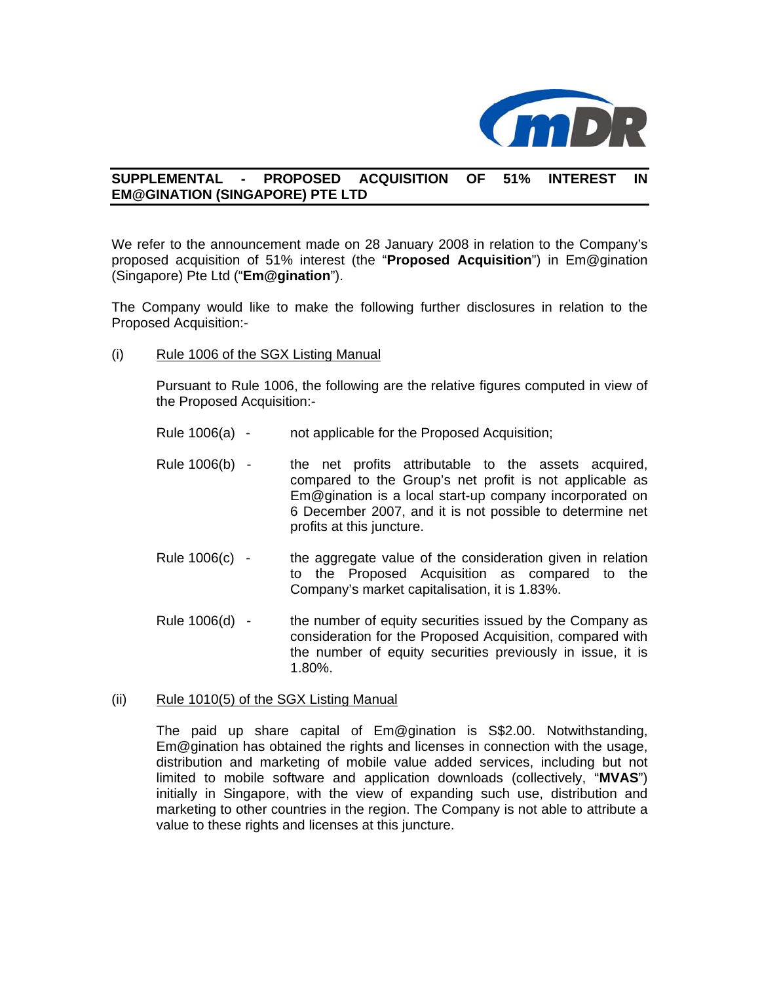

## **SUPPLEMENTAL - PROPOSED ACQUISITION OF 51% INTEREST IN EM@GINATION (SINGAPORE) PTE LTD**

We refer to the announcement made on 28 January 2008 in relation to the Company's proposed acquisition of 51% interest (the "**Proposed Acquisition**") in Em@gination (Singapore) Pte Ltd ("**Em@gination**").

The Company would like to make the following further disclosures in relation to the Proposed Acquisition:-

(i) Rule 1006 of the SGX Listing Manual

Pursuant to Rule 1006, the following are the relative figures computed in view of the Proposed Acquisition:-

- Rule 1006(a) not applicable for the Proposed Acquisition;
- Rule 1006(b) the net profits attributable to the assets acquired, compared to the Group's net profit is not applicable as Em@gination is a local start-up company incorporated on 6 December 2007, and it is not possible to determine net profits at this juncture.
- Rule  $1006(c)$  the aggregate value of the consideration given in relation to the Proposed Acquisition as compared to the Company's market capitalisation, it is 1.83%.
- Rule 1006(d) the number of equity securities issued by the Company as consideration for the Proposed Acquisition, compared with the number of equity securities previously in issue, it is 1.80%.

## (ii) Rule 1010(5) of the SGX Listing Manual

The paid up share capital of Em@gination is S\$2.00. Notwithstanding, Em@gination has obtained the rights and licenses in connection with the usage, distribution and marketing of mobile value added services, including but not limited to mobile software and application downloads (collectively, "**MVAS**") initially in Singapore, with the view of expanding such use, distribution and marketing to other countries in the region. The Company is not able to attribute a value to these rights and licenses at this juncture.